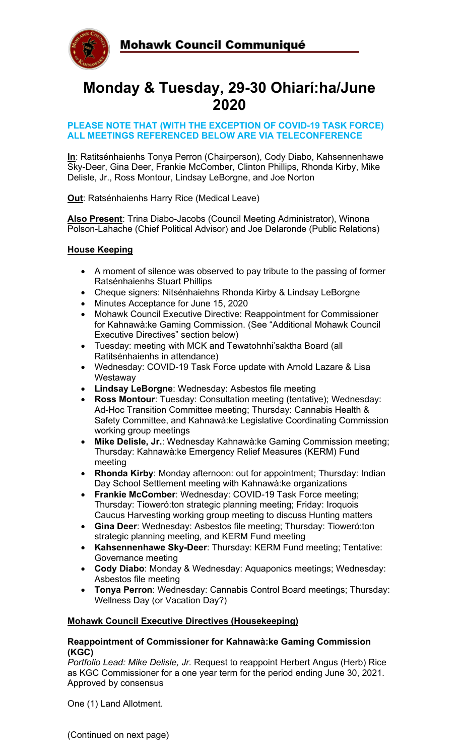

# **Monday & Tuesday, 29-30 Ohiarí:ha/June 2020**

#### **PLEASE NOTE THAT (WITH THE EXCEPTION OF COVID-19 TASK FORCE) ALL MEETINGS REFERENCED BELOW ARE VIA TELECONFERENCE**

**In**: Ratitsénhaienhs Tonya Perron (Chairperson), Cody Diabo, Kahsennenhawe Sky-Deer, Gina Deer, Frankie McComber, Clinton Phillips, Rhonda Kirby, Mike Delisle, Jr., Ross Montour, Lindsay LeBorgne, and Joe Norton

**Out**: Ratsénhaienhs Harry Rice (Medical Leave)

**Also Present**: Trina Diabo-Jacobs (Council Meeting Administrator), Winona Polson-Lahache (Chief Political Advisor) and Joe Delaronde (Public Relations)

# **House Keeping**

- A moment of silence was observed to pay tribute to the passing of former Ratsénhaienhs Stuart Phillips
- Cheque signers: Nitsénhaiehns Rhonda Kirby & Lindsay LeBorgne
- Minutes Acceptance for June 15, 2020
- Mohawk Council Executive Directive: Reappointment for Commissioner for Kahnawà:ke Gaming Commission. (See "Additional Mohawk Council Executive Directives" section below)
- Tuesday: meeting with MCK and Tewatohnhi'saktha Board (all Ratitsénhaienhs in attendance)
- Wednesday: COVID-19 Task Force update with Arnold Lazare & Lisa **Westaway**
- **Lindsay LeBorgne**: Wednesday: Asbestos file meeting
- **Ross Montour**: Tuesday: Consultation meeting (tentative); Wednesday: Ad-Hoc Transition Committee meeting; Thursday: Cannabis Health & Safety Committee, and Kahnawà:ke Legislative Coordinating Commission working group meetings
- **Mike Delisle, Jr.**: Wednesday Kahnawà:ke Gaming Commission meeting; Thursday: Kahnawà:ke Emergency Relief Measures (KERM) Fund meeting
- **Rhonda Kirby**: Monday afternoon: out for appointment; Thursday: Indian Day School Settlement meeting with Kahnawà:ke organizations
- **Frankie McComber**: Wednesday: COVID-19 Task Force meeting; Thursday: Tioweró:ton strategic planning meeting; Friday: Iroquois Caucus Harvesting working group meeting to discuss Hunting matters
- **Gina Deer**: Wednesday: Asbestos file meeting; Thursday: Tioweró:ton strategic planning meeting, and KERM Fund meeting
- **Kahsennenhawe Sky-Deer**: Thursday: KERM Fund meeting; Tentative: Governance meeting
- **Cody Diabo**: Monday & Wednesday: Aquaponics meetings; Wednesday: Asbestos file meeting
- **Tonya Perron**: Wednesday: Cannabis Control Board meetings; Thursday: Wellness Day (or Vacation Day?)

# **Mohawk Council Executive Directives (Housekeeping)**

#### **Reappointment of Commissioner for Kahnawà:ke Gaming Commission (KGC)**

*Portfolio Lead: Mike Delisle, Jr.* Request to reappoint Herbert Angus (Herb) Rice as KGC Commissioner for a one year term for the period ending June 30, 2021. Approved by consensus

One (1) Land Allotment.